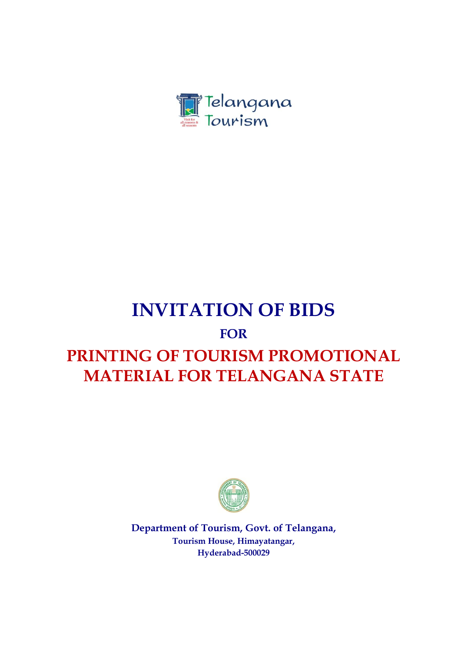

# **INVITATION OF BIDS**

## **FOR**

## **PRINTING OF TOURISM PROMOTIONAL MATERIAL FOR TELANGANA STATE**



**Department of Tourism, Govt. of Telangana, Tourism House, Himayatangar, Hyderabad-500029**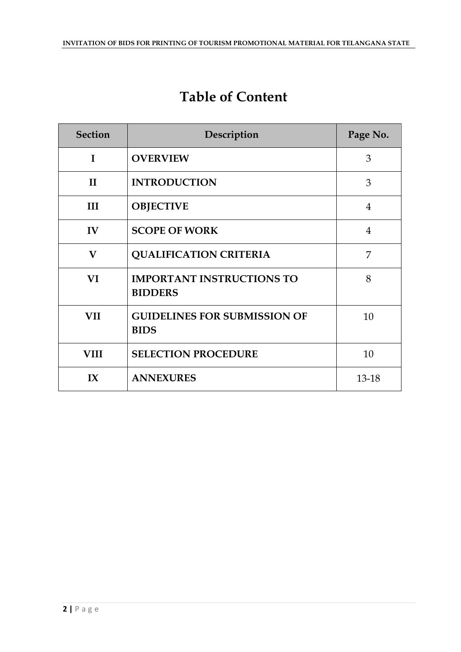## **Table of Content**

| <b>Section</b>          | Description                                        | Page No.       |
|-------------------------|----------------------------------------------------|----------------|
| $\mathbf I$             | <b>OVERVIEW</b>                                    | 3              |
| $\mathbf{I}$            | <b>INTRODUCTION</b>                                | 3              |
| III                     | <b>OBJECTIVE</b>                                   | 4              |
| $\mathbf{IV}$           | <b>SCOPE OF WORK</b>                               | $\overline{4}$ |
| $\bf{V}$                | <b>QUALIFICATION CRITERIA</b>                      | 7              |
| VI                      | <b>IMPORTANT INSTRUCTIONS TO</b><br><b>BIDDERS</b> | 8              |
| <b>VII</b>              | <b>GUIDELINES FOR SUBMISSION OF</b><br><b>BIDS</b> | 10             |
| <b>VIII</b>             | <b>SELECTION PROCEDURE</b>                         | 10             |
| $\mathbf{I} \mathbf{X}$ | <b>ANNEXURES</b>                                   | 13-18          |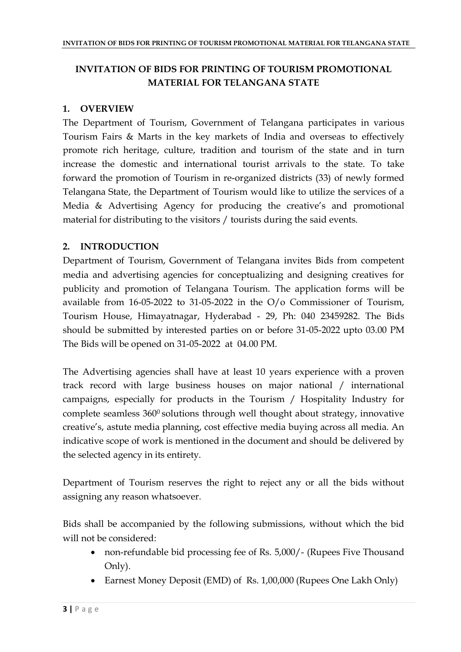#### **INVITATION OF BIDS FOR PRINTING OF TOURISM PROMOTIONAL MATERIAL FOR TELANGANA STATE**

#### **1. OVERVIEW**

The Department of Tourism, Government of Telangana participates in various Tourism Fairs & Marts in the key markets of India and overseas to effectively promote rich heritage, culture, tradition and tourism of the state and in turn increase the domestic and international tourist arrivals to the state. To take forward the promotion of Tourism in re-organized districts (33) of newly formed Telangana State, the Department of Tourism would like to utilize the services of a Media & Advertising Agency for producing the creative's and promotional material for distributing to the visitors / tourists during the said events.

#### **2. INTRODUCTION**

Department of Tourism, Government of Telangana invites Bids from competent media and advertising agencies for conceptualizing and designing creatives for publicity and promotion of Telangana Tourism. The application forms will be available from 16-05-2022 to 31-05-2022 in the O/o Commissioner of Tourism, Tourism House, Himayatnagar, Hyderabad - 29, Ph: 040 23459282. The Bids should be submitted by interested parties on or before 31-05-2022 upto 03.00 PM The Bids will be opened on 31-05-2022 at 04.00 PM.

The Advertising agencies shall have at least 10 years experience with a proven track record with large business houses on major national / international campaigns, especially for products in the Tourism / Hospitality Industry for complete seamless 360<sup>0</sup> solutions through well thought about strategy, innovative creative's, astute media planning, cost effective media buying across all media. An indicative scope of work is mentioned in the document and should be delivered by the selected agency in its entirety.

Department of Tourism reserves the right to reject any or all the bids without assigning any reason whatsoever.

Bids shall be accompanied by the following submissions, without which the bid will not be considered:

- non-refundable bid processing fee of Rs. 5,000/- (Rupees Five Thousand Only).
- Earnest Money Deposit (EMD) of Rs. 1,00,000 (Rupees One Lakh Only)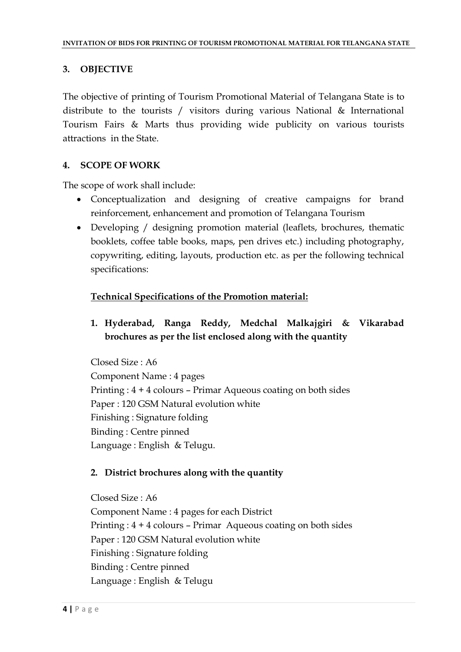#### **3. OBJECTIVE**

The objective of printing of Tourism Promotional Material of Telangana State is to distribute to the tourists / visitors during various National & International Tourism Fairs & Marts thus providing wide publicity on various tourists attractions in the State.

#### **4. SCOPE OF WORK**

The scope of work shall include:

- Conceptualization and designing of creative campaigns for brand reinforcement, enhancement and promotion of Telangana Tourism
- Developing / designing promotion material (leaflets, brochures, thematic booklets, coffee table books, maps, pen drives etc.) including photography, copywriting, editing, layouts, production etc. as per the following technical specifications:

#### **Technical Specifications of the Promotion material:**

**1. Hyderabad, Ranga Reddy, Medchal Malkajgiri & Vikarabad brochures as per the list enclosed along with the quantity**

Closed Size : A6 Component Name : 4 pages Printing : 4 + 4 colours – Primar Aqueous coating on both sides Paper : 120 GSM Natural evolution white Finishing : Signature folding Binding : Centre pinned Language : English & Telugu.

#### **2. District brochures along with the quantity**

Closed Size : A6 Component Name : 4 pages for each District Printing : 4 + 4 colours – Primar Aqueous coating on both sides Paper : 120 GSM Natural evolution white Finishing : Signature folding Binding : Centre pinned Language : English & Telugu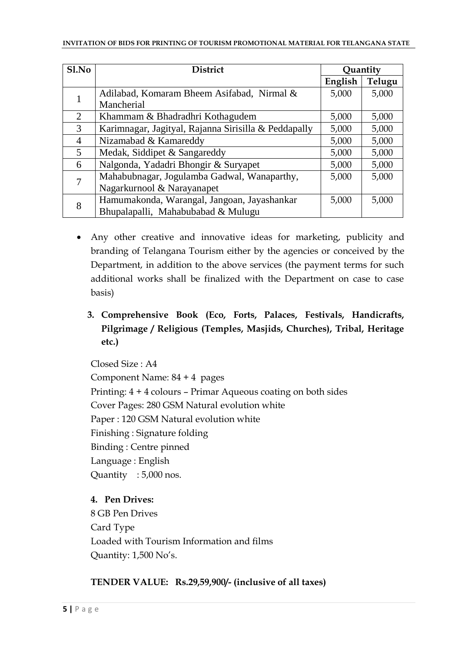| S1.No          | <b>District</b>                                      | Quantity |        |
|----------------|------------------------------------------------------|----------|--------|
|                |                                                      | English  | Telugu |
| 1              | Adilabad, Komaram Bheem Asifabad, Nirmal &           | 5,000    | 5,000  |
|                | Mancherial                                           |          |        |
| $\overline{2}$ | Khammam & Bhadradhri Kothagudem                      | 5,000    | 5,000  |
| 3              | Karimnagar, Jagityal, Rajanna Sirisilla & Peddapally | 5,000    | 5,000  |
| $\overline{4}$ | Nizamabad & Kamareddy                                | 5,000    | 5,000  |
| 5              | Medak, Siddipet & Sangareddy                         | 5,000    | 5,000  |
| 6              | Nalgonda, Yadadri Bhongir & Suryapet                 | 5,000    | 5,000  |
| 7              | Mahabubnagar, Jogulamba Gadwal, Wanaparthy,          | 5,000    | 5,000  |
|                | Nagarkurnool & Narayanapet                           |          |        |
| 8              | Hamumakonda, Warangal, Jangoan, Jayashankar          | 5,000    | 5,000  |
|                | Bhupalapalli, Mahabubabad & Mulugu                   |          |        |

- Any other creative and innovative ideas for marketing, publicity and branding of Telangana Tourism either by the agencies or conceived by the Department, in addition to the above services (the payment terms for such additional works shall be finalized with the Department on case to case basis)
	- **3. Comprehensive Book (Eco, Forts, Palaces, Festivals, Handicrafts, Pilgrimage / Religious (Temples, Masjids, Churches), Tribal, Heritage etc.)**

Closed Size : A4 Component Name: 84 + 4 pages Printing: 4 + 4 colours – Primar Aqueous coating on both sides Cover Pages: 280 GSM Natural evolution white Paper : 120 GSM Natural evolution white Finishing : Signature folding Binding : Centre pinned Language : English Quantity : 5,000 nos.

#### **4. Pen Drives:**

8 GB Pen Drives Card Type Loaded with Tourism Information and films Quantity: 1,500 No's.

#### **TENDER VALUE: Rs.29,59,900/- (inclusive of all taxes)**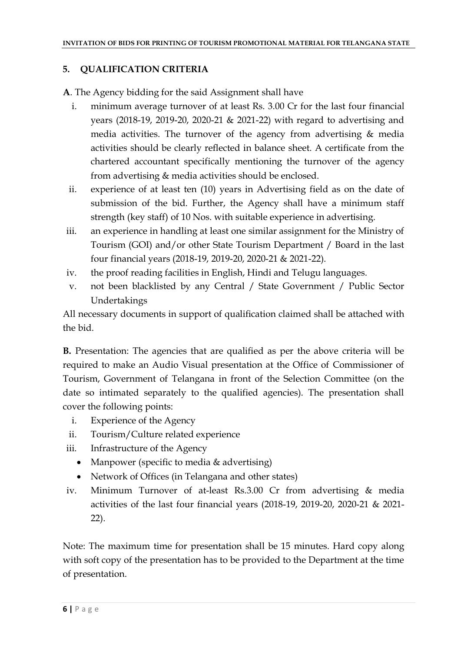#### **5. QUALIFICATION CRITERIA**

**A**. The Agency bidding for the said Assignment shall have

- i. minimum average turnover of at least Rs. 3.00 Cr for the last four financial years (2018-19, 2019-20, 2020-21 & 2021-22) with regard to advertising and media activities. The turnover of the agency from advertising & media activities should be clearly reflected in balance sheet. A certificate from the chartered accountant specifically mentioning the turnover of the agency from advertising & media activities should be enclosed.
- ii. experience of at least ten (10) years in Advertising field as on the date of submission of the bid. Further, the Agency shall have a minimum staff strength (key staff) of 10 Nos. with suitable experience in advertising.
- iii. an experience in handling at least one similar assignment for the Ministry of Tourism (GOI) and/or other State Tourism Department / Board in the last four financial years (2018-19, 2019-20, 2020-21 & 2021-22).
- iv. the proof reading facilities in English, Hindi and Telugu languages.
- v. not been blacklisted by any Central / State Government / Public Sector Undertakings

All necessary documents in support of qualification claimed shall be attached with the bid.

**B.** Presentation: The agencies that are qualified as per the above criteria will be required to make an Audio Visual presentation at the Office of Commissioner of Tourism, Government of Telangana in front of the Selection Committee (on the date so intimated separately to the qualified agencies). The presentation shall cover the following points:

- i. Experience of the Agency
- ii. Tourism/Culture related experience
- iii. Infrastructure of the Agency
	- Manpower (specific to media & advertising)
	- Network of Offices (in Telangana and other states)
- iv. Minimum Turnover of at-least Rs.3.00 Cr from advertising & media activities of the last four financial years (2018-19, 2019-20, 2020-21 & 2021- 22).

Note: The maximum time for presentation shall be 15 minutes. Hard copy along with soft copy of the presentation has to be provided to the Department at the time of presentation.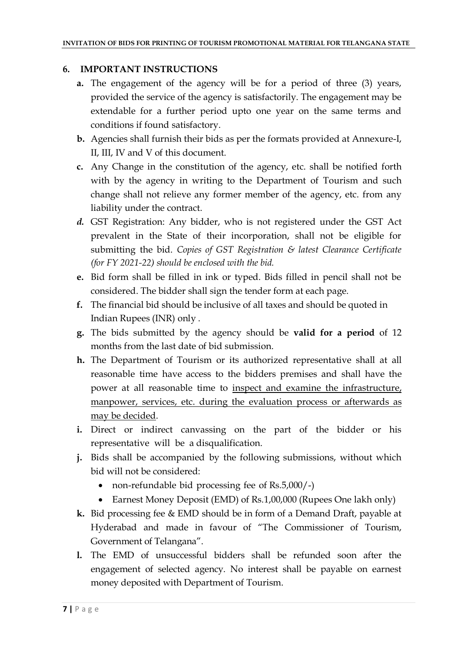#### **6. IMPORTANT INSTRUCTIONS**

- **a.** The engagement of the agency will be for a period of three (3) years, provided the service of the agency is satisfactorily. The engagement may be extendable for a further period upto one year on the same terms and conditions if found satisfactory.
- **b.** Agencies shall furnish their bids as per the formats provided at Annexure-I, II, III, IV and V of this document.
- **c.** Any Change in the constitution of the agency, etc. shall be notified forth with by the agency in writing to the Department of Tourism and such change shall not relieve any former member of the agency, etc. from any liability under the contract.
- *d.* GST Registration: Any bidder, who is not registered under the GST Act prevalent in the State of their incorporation, shall not be eligible for submitting the bid. *Copies of GST Registration & latest Clearance Certificate (for FY 2021-22) should be enclosed with the bid.*
- **e.** Bid form shall be filled in ink or typed. Bids filled in pencil shall not be considered. The bidder shall sign the tender form at each page.
- **f.** The financial bid should be inclusive of all taxes and should be quoted in Indian Rupees (INR) only .
- **g.** The bids submitted by the agency should be **valid for a period** of 12 months from the last date of bid submission.
- **h.** The Department of Tourism or its authorized representative shall at all reasonable time have access to the bidders premises and shall have the power at all reasonable time to inspect and examine the infrastructure, manpower, services, etc. during the evaluation process or afterwards as may be decided.
- **i.** Direct or indirect canvassing on the part of the bidder or his representative will be a disqualification.
- **j.** Bids shall be accompanied by the following submissions, without which bid will not be considered:
	- non-refundable bid processing fee of Rs.5,000/-)
	- Earnest Money Deposit (EMD) of Rs.1,00,000 (Rupees One lakh only)
- **k.** Bid processing fee & EMD should be in form of a Demand Draft, payable at Hyderabad and made in favour of "The Commissioner of Tourism, Government of Telangana".
- **l.** The EMD of unsuccessful bidders shall be refunded soon after the engagement of selected agency. No interest shall be payable on earnest money deposited with Department of Tourism.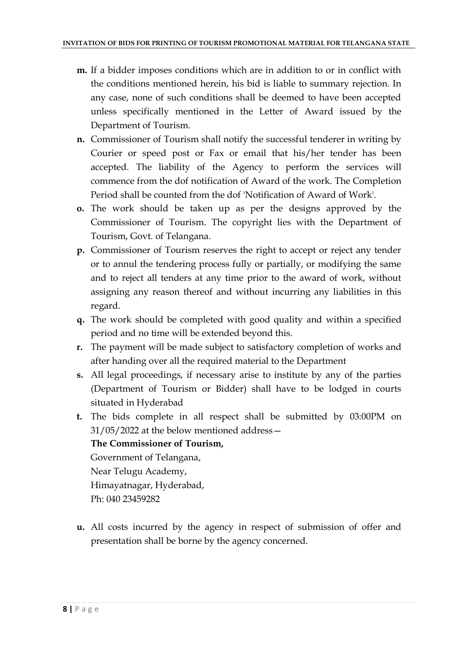- **m.** If a bidder imposes conditions which are in addition to or in conflict with the conditions mentioned herein, his bid is liable to summary rejection. In any case, none of such conditions shall be deemed to have been accepted unless specifically mentioned in the Letter of Award issued by the Department of Tourism.
- **n.** Commissioner of Tourism shall notify the successful tenderer in writing by Courier or speed post or Fax or email that his/her tender has been accepted. The liability of the Agency to perform the services will commence from the dof notification of Award of the work. The Completion Period shall be counted from the dof 'Notification of Award of Work'.
- **o.** The work should be taken up as per the designs approved by the Commissioner of Tourism. The copyright lies with the Department of Tourism, Govt. of Telangana.
- **p.** Commissioner of Tourism reserves the right to accept or reject any tender or to annul the tendering process fully or partially, or modifying the same and to reject all tenders at any time prior to the award of work, without assigning any reason thereof and without incurring any liabilities in this regard.
- **q.** The work should be completed with good quality and within a specified period and no time will be extended beyond this.
- **r.** The payment will be made subject to satisfactory completion of works and after handing over all the required material to the Department
- **s.** All legal proceedings, if necessary arise to institute by any of the parties (Department of Tourism or Bidder) shall have to be lodged in courts situated in Hyderabad
- **t.** The bids complete in all respect shall be submitted by 03:00PM on 31/05/2022 at the below mentioned address—

#### **The Commissioner of Tourism,**

Government of Telangana, Near Telugu Academy, Himayatnagar, Hyderabad, Ph: 040 23459282

**u.** All costs incurred by the agency in respect of submission of offer and presentation shall be borne by the agency concerned.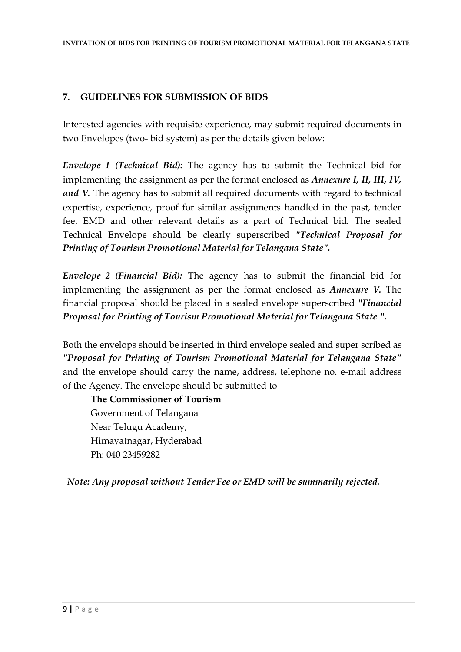#### **7. GUIDELINES FOR SUBMISSION OF BIDS**

Interested agencies with requisite experience, may submit required documents in two Envelopes (two- bid system) as per the details given below:

*Envelope 1 (Technical Bid):* The agency has to submit the Technical bid for implementing the assignment as per the format enclosed as *Annexure I, II, III, IV, and V.* The agency has to submit all required documents with regard to technical expertise, experience, proof for similar assignments handled in the past, tender fee, EMD and other relevant details as a part of Technical bid*.* The sealed Technical Envelope should be clearly superscribed *"Technical Proposal for Printing of Tourism Promotional Material for Telangana State".* 

*Envelope 2 (Financial Bid):* The agency has to submit the financial bid for implementing the assignment as per the format enclosed as *Annexure V.* The financial proposal should be placed in a sealed envelope superscribed *"Financial Proposal for Printing of Tourism Promotional Material for Telangana State ".* 

Both the envelops should be inserted in third envelope sealed and super scribed as *"Proposal for Printing of Tourism Promotional Material for Telangana State"* and the envelope should carry the name, address, telephone no. e-mail address of the Agency. The envelope should be submitted to

**The Commissioner of Tourism** Government of Telangana Near Telugu Academy, Himayatnagar, Hyderabad Ph: 040 23459282

*Note: Any proposal without Tender Fee or EMD will be summarily rejected.*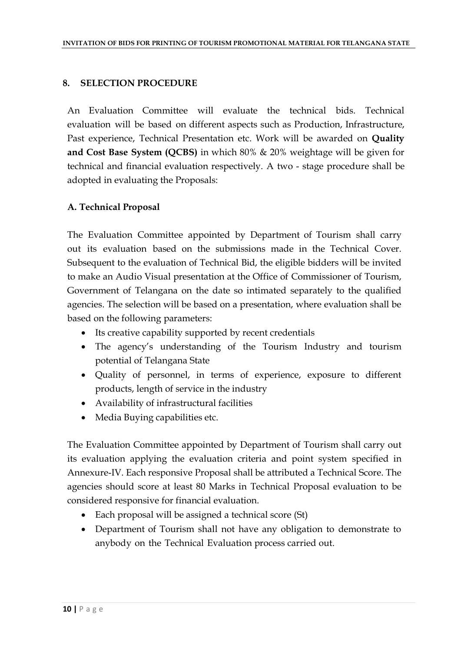#### **8. SELECTION PROCEDURE**

An Evaluation Committee will evaluate the technical bids. Technical evaluation will be based on different aspects such as Production, Infrastructure, Past experience, Technical Presentation etc. Work will be awarded on **Quality and Cost Base System (QCBS)** in which 80% & 20% weightage will be given for technical and financial evaluation respectively. A two - stage procedure shall be adopted in evaluating the Proposals:

#### **A. Technical Proposal**

The Evaluation Committee appointed by Department of Tourism shall carry out its evaluation based on the submissions made in the Technical Cover. Subsequent to the evaluation of Technical Bid, the eligible bidders will be invited to make an Audio Visual presentation at the Office of Commissioner of Tourism, Government of Telangana on the date so intimated separately to the qualified agencies. The selection will be based on a presentation, where evaluation shall be based on the following parameters:

- Its creative capability supported by recent credentials
- The agency's understanding of the Tourism Industry and tourism potential of Telangana State
- Quality of personnel, in terms of experience, exposure to different products, length of service in the industry
- Availability of infrastructural facilities
- Media Buying capabilities etc.

The Evaluation Committee appointed by Department of Tourism shall carry out its evaluation applying the evaluation criteria and point system specified in Annexure-IV. Each responsive Proposal shall be attributed a Technical Score. The agencies should score at least 80 Marks in Technical Proposal evaluation to be considered responsive for financial evaluation.

- Each proposal will be assigned a technical score (St)
- Department of Tourism shall not have any obligation to demonstrate to anybody on the Technical Evaluation process carried out.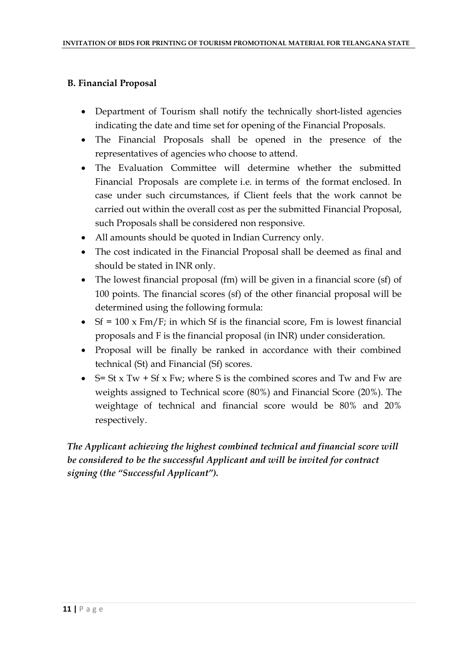#### **B. Financial Proposal**

- Department of Tourism shall notify the technically short-listed agencies indicating the date and time set for opening of the Financial Proposals.
- The Financial Proposals shall be opened in the presence of the representatives of agencies who choose to attend.
- The Evaluation Committee will determine whether the submitted Financial Proposals are complete i.e. in terms of the format enclosed. In case under such circumstances, if Client feels that the work cannot be carried out within the overall cost as per the submitted Financial Proposal, such Proposals shall be considered non responsive.
- All amounts should be quoted in Indian Currency only.
- The cost indicated in the Financial Proposal shall be deemed as final and should be stated in INR only.
- The lowest financial proposal (fm) will be given in a financial score (sf) of 100 points. The financial scores (sf) of the other financial proposal will be determined using the following formula:
- $Sf = 100 \times Fm/F$ ; in which Sf is the financial score, Fm is lowest financial proposals and F is the financial proposal (in INR) under consideration.
- Proposal will be finally be ranked in accordance with their combined technical (St) and Financial (Sf) scores.
- $\bullet$  S= St x Tw + Sf x Fw; where S is the combined scores and Tw and Fw are weights assigned to Technical score (80%) and Financial Score (20%). The weightage of technical and financial score would be 80% and 20% respectively.

*The Applicant achieving the highest combined technical and financial score will be considered to be the successful Applicant and will be invited for contract signing (the "Successful Applicant").*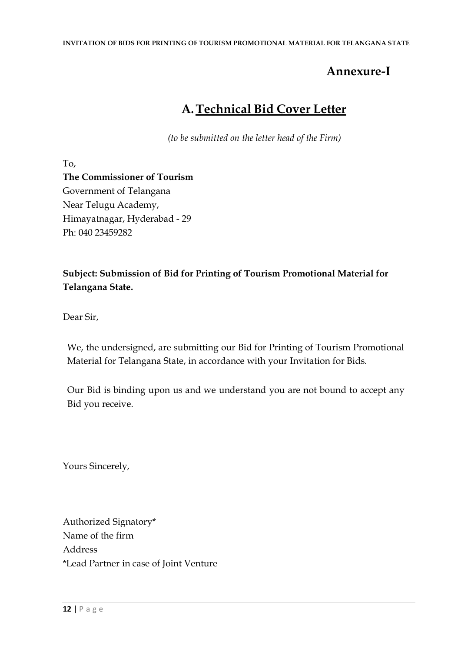## **Annexure-I**

## **A.Technical Bid Cover Letter**

*(to be submitted on the letter head of the Firm)*

To,

**The Commissioner of Tourism** Government of Telangana Near Telugu Academy, Himayatnagar, Hyderabad - 29 Ph: 040 23459282

#### **Subject: Submission of Bid for Printing of Tourism Promotional Material for Telangana State.**

Dear Sir,

We, the undersigned, are submitting our Bid for Printing of Tourism Promotional Material for Telangana State, in accordance with your Invitation for Bids.

Our Bid is binding upon us and we understand you are not bound to accept any Bid you receive.

Yours Sincerely,

Authorized Signatory\* Name of the firm Address \*Lead Partner in case of Joint Venture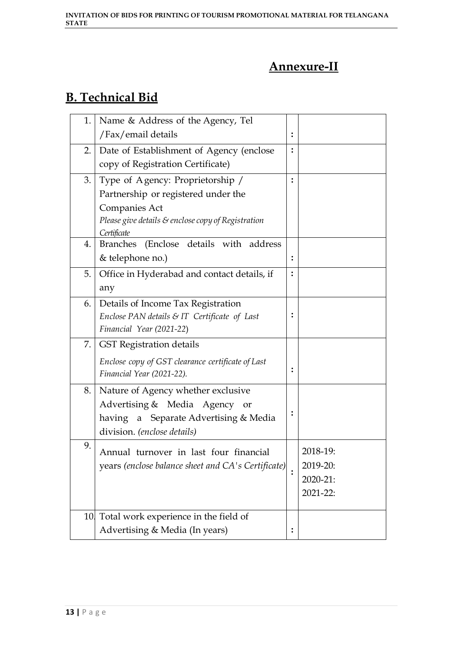## **Annexure-II**

## **B. Technical Bid**

| 1.  | Name & Address of the Agency, Tel                  |                |          |
|-----|----------------------------------------------------|----------------|----------|
|     | /Fax/email details                                 | $\ddot{\cdot}$ |          |
| 2.  | Date of Establishment of Agency (enclose           | $\ddot{\cdot}$ |          |
|     | copy of Registration Certificate)                  |                |          |
| 3.  | Type of Agency: Proprietorship /                   |                |          |
|     | Partnership or registered under the                |                |          |
|     | Companies Act                                      |                |          |
|     | Please give details & enclose copy of Registration |                |          |
|     | Certificate                                        |                |          |
| 4.  | (Enclose details with address<br><b>Branches</b>   |                |          |
|     | & telephone no.)                                   | $\ddot{\cdot}$ |          |
| 5.  | Office in Hyderabad and contact details, if        | $\ddot{\cdot}$ |          |
|     | any                                                |                |          |
| 6.  | Details of Income Tax Registration                 |                |          |
|     | Enclose PAN details & IT Certificate of Last       | $\ddot{\cdot}$ |          |
|     | Financial Year (2021-22)                           |                |          |
| 7.  | <b>GST Registration details</b>                    |                |          |
|     | Enclose copy of GST clearance certificate of Last  |                |          |
|     | Financial Year (2021-22).                          | $\ddot{\cdot}$ |          |
| 8.  | Nature of Agency whether exclusive                 |                |          |
|     | Advertising & Media Agency or                      |                |          |
|     | having a Separate Advertising & Media              | $\ddot{\cdot}$ |          |
|     | division. (enclose details)                        |                |          |
| 9.  | Annual turnover in last four financial             |                | 2018-19: |
|     | years (enclose balance sheet and CA's Certificate) |                | 2019-20: |
|     |                                                    |                | 2020-21: |
|     |                                                    |                | 2021-22: |
|     |                                                    |                |          |
| 10. | Total work experience in the field of              |                |          |
|     | Advertising & Media (In years)                     | $\ddot{\cdot}$ |          |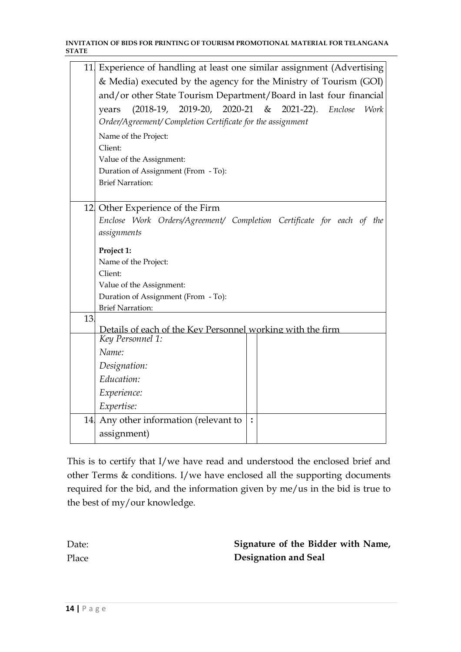#### **INVITATION OF BIDS FOR PRINTING OF TOURISM PROMOTIONAL MATERIAL FOR TELANGANA STATE**

|     | 11. Experience of handling at least one similar assignment (Advertising        |   |  |  |  |
|-----|--------------------------------------------------------------------------------|---|--|--|--|
|     | & Media) executed by the agency for the Ministry of Tourism (GOI)              |   |  |  |  |
|     | and/or other State Tourism Department/Board in last four financial             |   |  |  |  |
|     | (2018-19, 2019-20, 2020-21 & 2021-22). Enclose Work                            |   |  |  |  |
|     | years                                                                          |   |  |  |  |
|     | Order/Agreement/ Completion Certificate for the assignment                     |   |  |  |  |
|     | Name of the Project:                                                           |   |  |  |  |
|     | Client:                                                                        |   |  |  |  |
|     | Value of the Assignment:                                                       |   |  |  |  |
|     | Duration of Assignment (From - To):                                            |   |  |  |  |
|     | <b>Brief Narration:</b>                                                        |   |  |  |  |
|     |                                                                                |   |  |  |  |
|     | 12 Other Experience of the Firm                                                |   |  |  |  |
|     | Enclose Work Orders/Agreement/ Completion Certificate for each of the          |   |  |  |  |
|     | assignments                                                                    |   |  |  |  |
|     | Project 1:                                                                     |   |  |  |  |
|     | Name of the Project:                                                           |   |  |  |  |
|     | Client:                                                                        |   |  |  |  |
|     | Value of the Assignment:                                                       |   |  |  |  |
|     | Duration of Assignment (From - To):                                            |   |  |  |  |
|     | <b>Brief Narration:</b>                                                        |   |  |  |  |
| 13  |                                                                                |   |  |  |  |
|     | Details of each of the Key Personnel working with the firm<br>Key Personnel 1: |   |  |  |  |
|     |                                                                                |   |  |  |  |
|     | Name:                                                                          |   |  |  |  |
|     | Designation:                                                                   |   |  |  |  |
|     | Education:                                                                     |   |  |  |  |
|     | Experience:                                                                    |   |  |  |  |
|     | Expertise:                                                                     |   |  |  |  |
| 14. | Any other information (relevant to                                             | : |  |  |  |
|     | assignment)                                                                    |   |  |  |  |
|     |                                                                                |   |  |  |  |

This is to certify that I/we have read and understood the enclosed brief and other Terms & conditions. I/we have enclosed all the supporting documents required for the bid, and the information given by me/us in the bid is true to the best of my/our knowledge.

| Date: | Signature of the Bidder with Name, |
|-------|------------------------------------|
| Place | Designation and Seal               |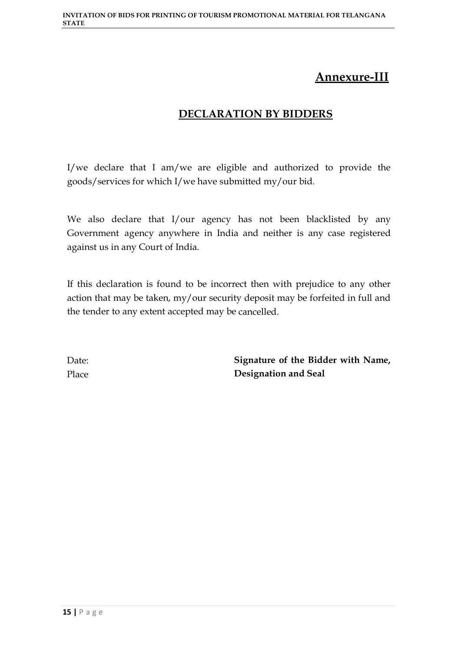## **Annexure-III**

#### **DECLARATION BY BIDDERS**

I/we declare that I am/we are eligible and authorized to provide the goods/services for which I/we have submitted my/our bid.

We also declare that I/our agency has not been blacklisted by any Government agency anywhere in India and neither is any case registered against us in any Court of India.

If this declaration is found to be incorrect then with prejudice to any other action that may be taken, my/our security deposit may be forfeited in full and the tender to any extent accepted may be cancelled.

Date: Place **Signature of the Bidder with Name, Designation and Seal**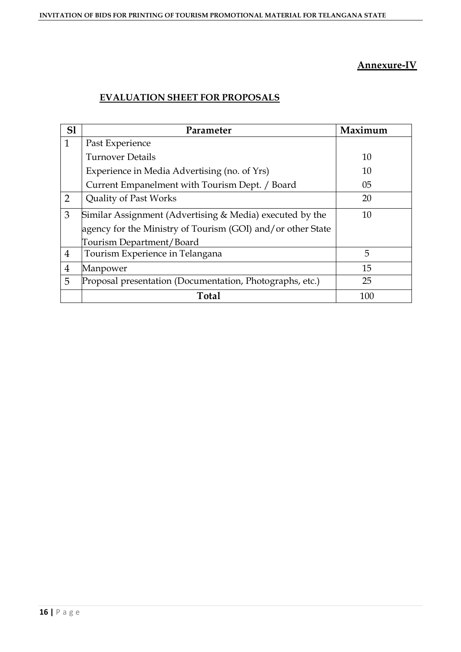#### **Annexure-IV**

#### **EVALUATION SHEET FOR PROPOSALS**

| S1             | Parameter                                                   | Maximum |
|----------------|-------------------------------------------------------------|---------|
| 1              | Past Experience                                             |         |
|                | <b>Turnover Details</b>                                     | 10      |
|                | Experience in Media Advertising (no. of Yrs)                | 10      |
|                | Current Empanelment with Tourism Dept. / Board              | 05      |
| $\overline{2}$ | <b>Quality of Past Works</b>                                | 20      |
| 3              | Similar Assignment (Advertising & Media) executed by the    | 10      |
|                | agency for the Ministry of Tourism (GOI) and/or other State |         |
|                | Tourism Department/Board                                    |         |
| $\overline{4}$ | Tourism Experience in Telangana                             | 5       |
| $\overline{4}$ | Manpower                                                    | 15      |
| 5              | Proposal presentation (Documentation, Photographs, etc.)    | 25      |
|                | <b>Total</b>                                                | 100     |